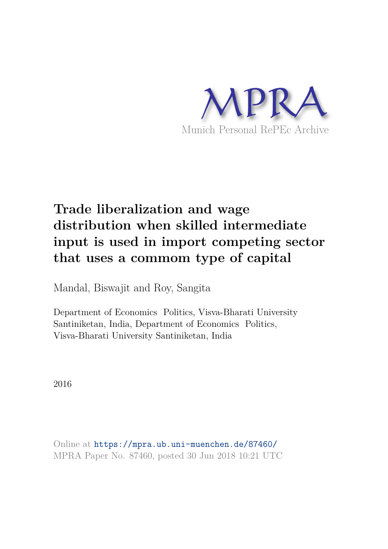

# **Trade liberalization and wage distribution when skilled intermediate input is used in import competing sector that uses a commom type of capital**

Mandal, Biswajit and Roy, Sangita

Department of Economics Politics, Visva-Bharati University Santiniketan, India, Department of Economics Politics, Visva-Bharati University Santiniketan, India

2016

Online at https://mpra.ub.uni-muenchen.de/87460/ MPRA Paper No. 87460, posted 30 Jun 2018 10:21 UTC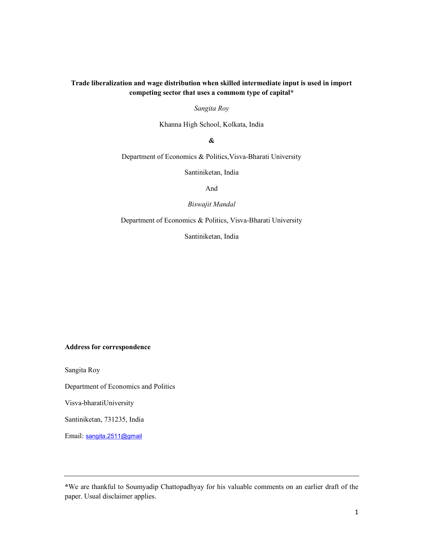# Trade liberalization and wage distribution when skilled intermediate input is used in import competing sector that uses a commom type of capital\*

Sangita Roy

Khanna High School, Kolkata, India

&

Department of Economics & Politics,Visva-Bharati University

Santiniketan, India

And

Biswajit Mandal

Department of Economics & Politics, Visva-Bharati University

Santiniketan, India

#### Address for correspondence

Sangita Roy

Department of Economics and Politics

Visva-bharatiUniversity

Santiniketan, 731235, India

Email: sangita.2511@gmail

<sup>\*</sup>We are thankful to Soumyadip Chattopadhyay for his valuable comments on an earlier draft of the paper. Usual disclaimer applies.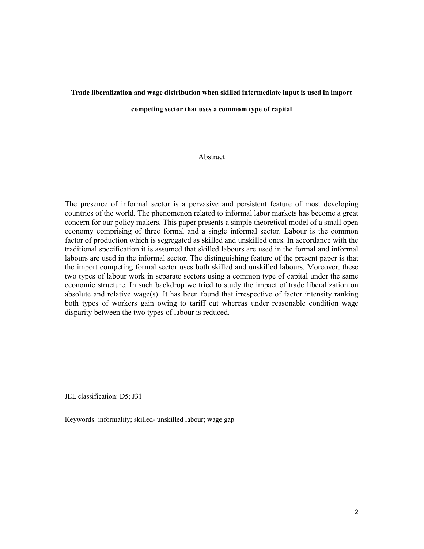#### Trade liberalization and wage distribution when skilled intermediate input is used in import

competing sector that uses a commom type of capital

# Abstract

The presence of informal sector is a pervasive and persistent feature of most developing countries of the world. The phenomenon related to informal labor markets has become a great concern for our policy makers. This paper presents a simple theoretical model of a small open economy comprising of three formal and a single informal sector. Labour is the common factor of production which is segregated as skilled and unskilled ones. In accordance with the traditional specification it is assumed that skilled labours are used in the formal and informal labours are used in the informal sector. The distinguishing feature of the present paper is that the import competing formal sector uses both skilled and unskilled labours. Moreover, these two types of labour work in separate sectors using a common type of capital under the same economic structure. In such backdrop we tried to study the impact of trade liberalization on absolute and relative wage(s). It has been found that irrespective of factor intensity ranking both types of workers gain owing to tariff cut whereas under reasonable condition wage disparity between the two types of labour is reduced.

JEL classification: D5; J31

Keywords: informality; skilled- unskilled labour; wage gap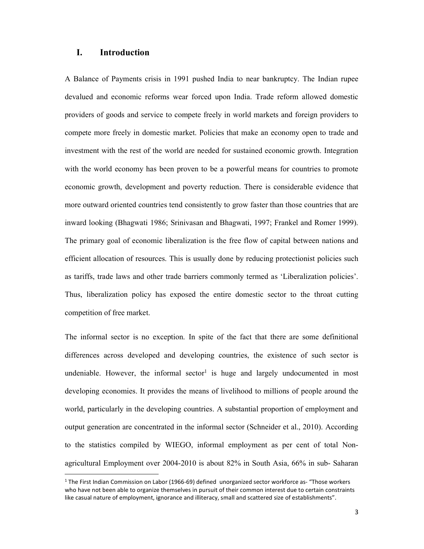## I. Introduction

**.** 

A Balance of Payments crisis in 1991 pushed India to near bankruptcy. The Indian rupee devalued and economic reforms wear forced upon India. Trade reform allowed domestic providers of goods and service to compete freely in world markets and foreign providers to compete more freely in domestic market. Policies that make an economy open to trade and investment with the rest of the world are needed for sustained economic growth. Integration with the world economy has been proven to be a powerful means for countries to promote economic growth, development and poverty reduction. There is considerable evidence that more outward oriented countries tend consistently to grow faster than those countries that are inward looking (Bhagwati 1986; Srinivasan and Bhagwati, 1997; Frankel and Romer 1999). The primary goal of economic liberalization is the free flow of capital between nations and efficient allocation of resources. This is usually done by reducing protectionist policies such as tariffs, trade laws and other trade barriers commonly termed as 'Liberalization policies'. Thus, liberalization policy has exposed the entire domestic sector to the throat cutting competition of free market.

The informal sector is no exception. In spite of the fact that there are some definitional differences across developed and developing countries, the existence of such sector is undeniable. However, the informal sector<sup>1</sup> is huge and largely undocumented in most developing economies. It provides the means of livelihood to millions of people around the world, particularly in the developing countries. A substantial proportion of employment and output generation are concentrated in the informal sector (Schneider et al., 2010). According to the statistics compiled by WIEGO, informal employment as per cent of total Nonagricultural Employment over 2004-2010 is about 82% in South Asia, 66% in sub- Saharan

<sup>&</sup>lt;sup>1</sup> The First Indian Commission on Labor (1966-69) defined unorganized sector workforce as- "Those workers who have not been able to organize themselves in pursuit of their common interest due to certain constraints like casual nature of employment, ignorance and illiteracy, small and scattered size of establishments".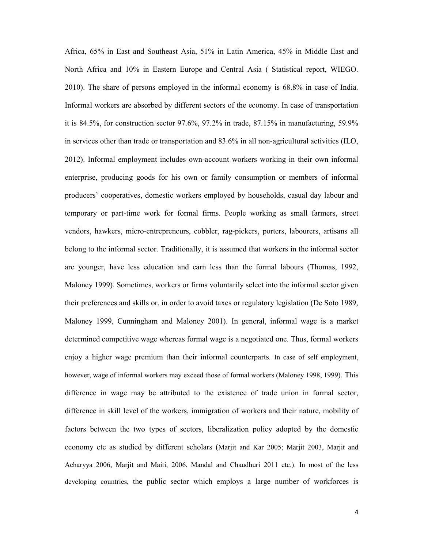Africa, 65% in East and Southeast Asia, 51% in Latin America, 45% in Middle East and North Africa and 10% in Eastern Europe and Central Asia ( Statistical report, WIEGO. 2010). The share of persons employed in the informal economy is 68.8% in case of India. Informal workers are absorbed by different sectors of the economy. In case of transportation it is 84.5%, for construction sector 97.6%, 97.2% in trade, 87.15% in manufacturing, 59.9% in services other than trade or transportation and 83.6% in all non-agricultural activities (ILO, 2012). Informal employment includes own-account workers working in their own informal enterprise, producing goods for his own or family consumption or members of informal producers' cooperatives, domestic workers employed by households, casual day labour and temporary or part-time work for formal firms. People working as small farmers, street vendors, hawkers, micro-entrepreneurs, cobbler, rag-pickers, porters, labourers, artisans all belong to the informal sector. Traditionally, it is assumed that workers in the informal sector are younger, have less education and earn less than the formal labours (Thomas, 1992, Maloney 1999). Sometimes, workers or firms voluntarily select into the informal sector given their preferences and skills or, in order to avoid taxes or regulatory legislation (De Soto 1989, Maloney 1999, Cunningham and Maloney 2001). In general, informal wage is a market determined competitive wage whereas formal wage is a negotiated one. Thus, formal workers enjoy a higher wage premium than their informal counterparts. In case of self employment, however, wage of informal workers may exceed those of formal workers (Maloney 1998, 1999). This difference in wage may be attributed to the existence of trade union in formal sector, difference in skill level of the workers, immigration of workers and their nature, mobility of factors between the two types of sectors, liberalization policy adopted by the domestic economy etc as studied by different scholars (Marjit and Kar 2005; Marjit 2003, Marjit and Acharyya 2006, Marjit and Maiti, 2006, Mandal and Chaudhuri 2011 etc.). In most of the less developing countries, the public sector which employs a large number of workforces is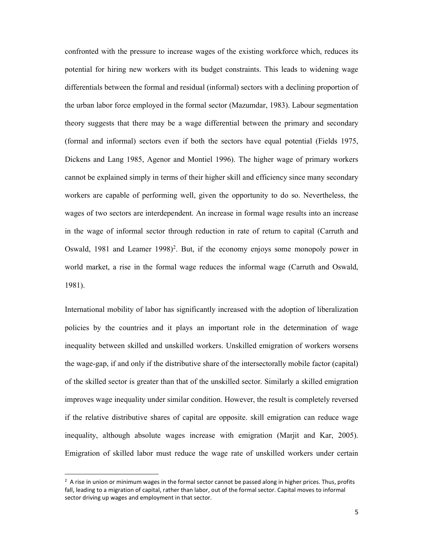confronted with the pressure to increase wages of the existing workforce which, reduces its potential for hiring new workers with its budget constraints. This leads to widening wage differentials between the formal and residual (informal) sectors with a declining proportion of the urban labor force employed in the formal sector (Mazumdar, 1983). Labour segmentation theory suggests that there may be a wage differential between the primary and secondary (formal and informal) sectors even if both the sectors have equal potential (Fields 1975, Dickens and Lang 1985, Agenor and Montiel 1996). The higher wage of primary workers cannot be explained simply in terms of their higher skill and efficiency since many secondary workers are capable of performing well, given the opportunity to do so. Nevertheless, the wages of two sectors are interdependent. An increase in formal wage results into an increase in the wage of informal sector through reduction in rate of return to capital (Carruth and Oswald, 1981 and Leamer 1998)<sup>2</sup>. But, if the economy enjoys some monopoly power in world market, a rise in the formal wage reduces the informal wage (Carruth and Oswald, 1981).

International mobility of labor has significantly increased with the adoption of liberalization policies by the countries and it plays an important role in the determination of wage inequality between skilled and unskilled workers. Unskilled emigration of workers worsens the wage-gap, if and only if the distributive share of the intersectorally mobile factor (capital) of the skilled sector is greater than that of the unskilled sector. Similarly a skilled emigration improves wage inequality under similar condition. However, the result is completely reversed if the relative distributive shares of capital are opposite. skill emigration can reduce wage inequality, although absolute wages increase with emigration (Marjit and Kar, 2005). Emigration of skilled labor must reduce the wage rate of unskilled workers under certain

**.** 

 $2$  A rise in union or minimum wages in the formal sector cannot be passed along in higher prices. Thus, profits fall, leading to a migration of capital, rather than labor, out of the formal sector. Capital moves to informal sector driving up wages and employment in that sector.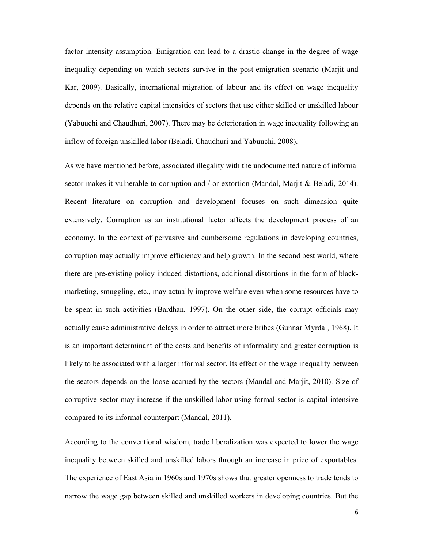factor intensity assumption. Emigration can lead to a drastic change in the degree of wage inequality depending on which sectors survive in the post-emigration scenario (Marjit and Kar, 2009). Basically, international migration of labour and its effect on wage inequality depends on the relative capital intensities of sectors that use either skilled or unskilled labour (Yabuuchi and Chaudhuri, 2007). There may be deterioration in wage inequality following an inflow of foreign unskilled labor (Beladi, Chaudhuri and Yabuuchi, 2008).

As we have mentioned before, associated illegality with the undocumented nature of informal sector makes it vulnerable to corruption and / or extortion (Mandal, Marjit & Beladi, 2014). Recent literature on corruption and development focuses on such dimension quite extensively. Corruption as an institutional factor affects the development process of an economy. In the context of pervasive and cumbersome regulations in developing countries, corruption may actually improve efficiency and help growth. In the second best world, where there are pre-existing policy induced distortions, additional distortions in the form of blackmarketing, smuggling, etc., may actually improve welfare even when some resources have to be spent in such activities (Bardhan, 1997). On the other side, the corrupt officials may actually cause administrative delays in order to attract more bribes (Gunnar Myrdal, 1968). It is an important determinant of the costs and benefits of informality and greater corruption is likely to be associated with a larger informal sector. Its effect on the wage inequality between the sectors depends on the loose accrued by the sectors (Mandal and Marjit, 2010). Size of corruptive sector may increase if the unskilled labor using formal sector is capital intensive compared to its informal counterpart (Mandal, 2011).

According to the conventional wisdom, trade liberalization was expected to lower the wage inequality between skilled and unskilled labors through an increase in price of exportables. The experience of East Asia in 1960s and 1970s shows that greater openness to trade tends to narrow the wage gap between skilled and unskilled workers in developing countries. But the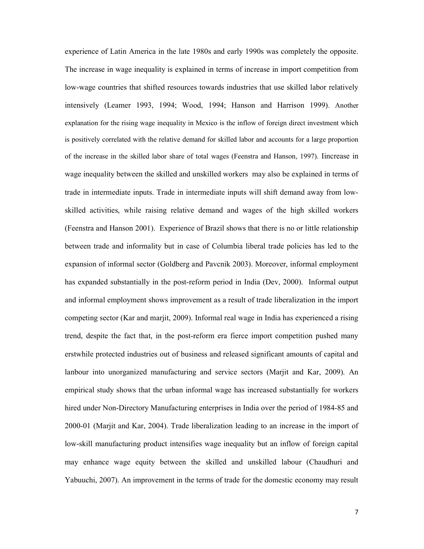experience of Latin America in the late 1980s and early 1990s was completely the opposite. The increase in wage inequality is explained in terms of increase in import competition from low-wage countries that shifted resources towards industries that use skilled labor relatively intensively (Leamer 1993, 1994; Wood, 1994; Hanson and Harrison 1999). Another explanation for the rising wage inequality in Mexico is the inflow of foreign direct investment which is positively correlated with the relative demand for skilled labor and accounts for a large proportion of the increase in the skilled labor share of total wages (Feenstra and Hanson, 1997). Iincrease in wage inequality between the skilled and unskilled workers may also be explained in terms of trade in intermediate inputs. Trade in intermediate inputs will shift demand away from lowskilled activities, while raising relative demand and wages of the high skilled workers (Feenstra and Hanson 2001). Experience of Brazil shows that there is no or little relationship between trade and informality but in case of Columbia liberal trade policies has led to the expansion of informal sector (Goldberg and Pavcnik 2003). Moreover, informal employment has expanded substantially in the post-reform period in India (Dev, 2000). Informal output and informal employment shows improvement as a result of trade liberalization in the import competing sector (Kar and marjit, 2009). Informal real wage in India has experienced a rising trend, despite the fact that, in the post-reform era fierce import competition pushed many erstwhile protected industries out of business and released significant amounts of capital and lanbour into unorganized manufacturing and service sectors (Marjit and Kar, 2009). An empirical study shows that the urban informal wage has increased substantially for workers hired under Non-Directory Manufacturing enterprises in India over the period of 1984-85 and 2000-01 (Marjit and Kar, 2004). Trade liberalization leading to an increase in the import of low-skill manufacturing product intensifies wage inequality but an inflow of foreign capital may enhance wage equity between the skilled and unskilled labour (Chaudhuri and Yabuuchi, 2007). An improvement in the terms of trade for the domestic economy may result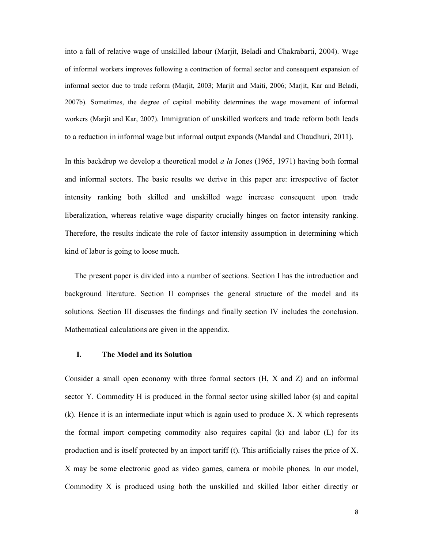into a fall of relative wage of unskilled labour (Marjit, Beladi and Chakrabarti, 2004). Wage of informal workers improves following a contraction of formal sector and consequent expansion of informal sector due to trade reform (Marjit, 2003; Marjit and Maiti, 2006; Marjit, Kar and Beladi, 2007b). Sometimes, the degree of capital mobility determines the wage movement of informal workers (Marjit and Kar, 2007). Immigration of unskilled workers and trade reform both leads to a reduction in informal wage but informal output expands (Mandal and Chaudhuri, 2011).

In this backdrop we develop a theoretical model  $a \, la$  Jones (1965, 1971) having both formal and informal sectors. The basic results we derive in this paper are: irrespective of factor intensity ranking both skilled and unskilled wage increase consequent upon trade liberalization, whereas relative wage disparity crucially hinges on factor intensity ranking. Therefore, the results indicate the role of factor intensity assumption in determining which kind of labor is going to loose much.

 The present paper is divided into a number of sections. Section I has the introduction and background literature. Section II comprises the general structure of the model and its solutions. Section III discusses the findings and finally section IV includes the conclusion. Mathematical calculations are given in the appendix.

## I. The Model and its Solution

Consider a small open economy with three formal sectors (H, X and Z) and an informal sector Y. Commodity H is produced in the formal sector using skilled labor (s) and capital (k). Hence it is an intermediate input which is again used to produce X. X which represents the formal import competing commodity also requires capital (k) and labor (L) for its production and is itself protected by an import tariff (t). This artificially raises the price of X. X may be some electronic good as video games, camera or mobile phones. In our model, Commodity X is produced using both the unskilled and skilled labor either directly or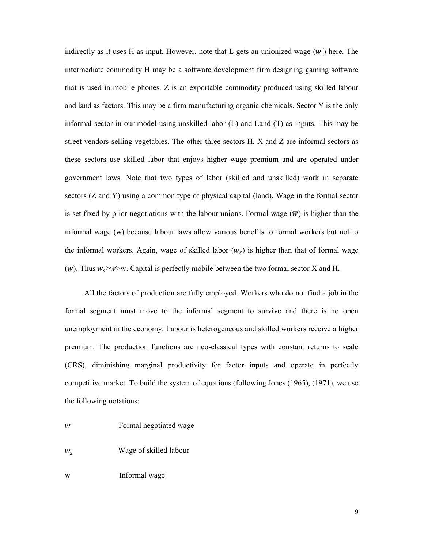indirectly as it uses H as input. However, note that L gets an unionized wage  $(\overline{w})$  here. The intermediate commodity H may be a software development firm designing gaming software that is used in mobile phones. Z is an exportable commodity produced using skilled labour and land as factors. This may be a firm manufacturing organic chemicals. Sector Y is the only informal sector in our model using unskilled labor (L) and Land (T) as inputs. This may be street vendors selling vegetables. The other three sectors H, X and Z are informal sectors as these sectors use skilled labor that enjoys higher wage premium and are operated under government laws. Note that two types of labor (skilled and unskilled) work in separate sectors (Z and Y) using a common type of physical capital (land). Wage in the formal sector is set fixed by prior negotiations with the labour unions. Formal wage  $(\bar{w})$  is higher than the informal wage (w) because labour laws allow various benefits to formal workers but not to the informal workers. Again, wage of skilled labor  $(w_s)$  is higher than that of formal wage  $(\overline{w})$ . Thus  $w_s > \overline{w} > w$ . Capital is perfectly mobile between the two formal sector X and H.

 All the factors of production are fully employed. Workers who do not find a job in the formal segment must move to the informal segment to survive and there is no open unemployment in the economy. Labour is heterogeneous and skilled workers receive a higher premium. The production functions are neo-classical types with constant returns to scale (CRS), diminishing marginal productivity for factor inputs and operate in perfectly competitive market. To build the system of equations (following Jones (1965), (1971), we use the following notations:

- $\overline{w}$  Formal negotiated wage
- $W_{S}$ Wage of skilled labour

w Informal wage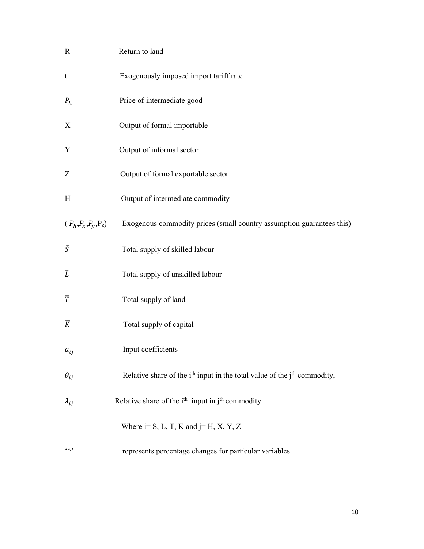| $\mathbb{R}$                     | Return to land                                                                                   |
|----------------------------------|--------------------------------------------------------------------------------------------------|
| $\mathbf t$                      | Exogenously imposed import tariff rate                                                           |
| $P_h$                            | Price of intermediate good                                                                       |
| X                                | Output of formal importable                                                                      |
| Y                                | Output of informal sector                                                                        |
| Z                                | Output of formal exportable sector                                                               |
| H                                | Output of intermediate commodity                                                                 |
| $(P_h, P_x, P_y, P_z)$           | Exogenous commodity prices (small country assumption guarantees this)                            |
| $\bar{S}$                        | Total supply of skilled labour                                                                   |
| $\overline{L}$                   | Total supply of unskilled labour                                                                 |
| $\bar{T}$                        | Total supply of land                                                                             |
| $\overline{K}$                   | Total supply of capital                                                                          |
| $a_{ij}$                         | Input coefficients                                                                               |
| $\theta_{ij}$                    | Relative share of the i <sup>th</sup> input in the total value of the j <sup>th</sup> commodity, |
| $\lambda_{ij}$                   | Relative share of the $ith$ input in $jth$ commodity.                                            |
|                                  | Where $i= S, L, T, K$ and $j= H, X, Y, Z$                                                        |
| $\mathfrak{c}\wedge\mathfrak{b}$ | represents percentage changes for particular variables                                           |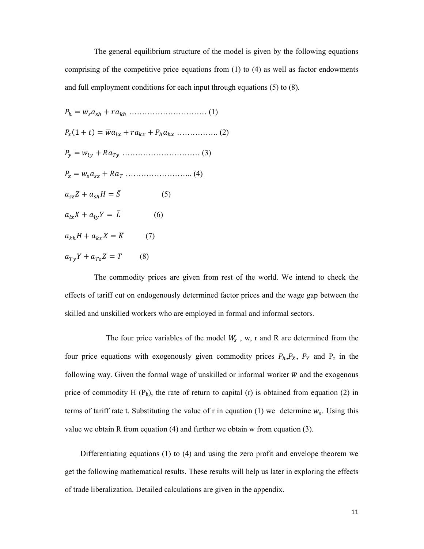The general equilibrium structure of the model is given by the following equations comprising of the competitive price equations from  $(1)$  to  $(4)$  as well as factor endowments and full employment conditions for each input through equations (5) to (8).

 = ௦௦ + ………………………… (1) ௫ (1 + ) = ഥ௫ + ௫ + ௫ ……………. (2) <sup>௬</sup> = ௬ + ்௬ ………………………… (3) <sup>௭</sup> = ௦<sup>௦௭</sup> + ் …………………….. (4) ௦௭ + ௦ = ̅ (5) ௫ + ௬ = ത (6) + ௫ = ഥ (7) ்௬ + ்௭ = (8)

 The commodity prices are given from rest of the world. We intend to check the effects of tariff cut on endogenously determined factor prices and the wage gap between the skilled and unskilled workers who are employed in formal and informal sectors.

The four price variables of the model  $W_s$ , w, r and R are determined from the four price equations with exogenously given commodity prices  $P_h$ ,  $P_X$ ,  $P_Y$  and  $P_Z$  in the following way. Given the formal wage of unskilled or informal worker  $\overline{w}$  and the exogenous price of commodity H  $(P_h)$ , the rate of return to capital (r) is obtained from equation (2) in terms of tariff rate t. Substituting the value of r in equation (1) we determine  $w_s$ . Using this value we obtain R from equation (4) and further we obtain w from equation (3).

 Differentiating equations (1) to (4) and using the zero profit and envelope theorem we get the following mathematical results. These results will help us later in exploring the effects of trade liberalization. Detailed calculations are given in the appendix.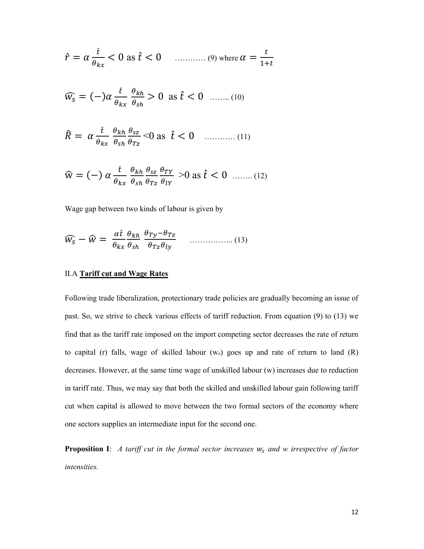$$
\hat{r} = \alpha \frac{\hat{t}}{\theta_{kx}} < 0 \text{ as } \hat{t} < 0 \quad \dots \quad (9) \text{ where } \alpha = \frac{t}{1+t}
$$

$$
\widehat{w_s} = (-)\alpha \frac{\hat{t}}{\theta_{kx}} \frac{\theta_{kh}}{\theta_{sh}} > 0 \text{ as } \hat{t} < 0 \quad \dots \dots \quad (10)
$$

$$
\hat{R} = \alpha \frac{\hat{t}}{\theta_{kx}} \frac{\theta_{kh}}{\theta_{sh}} \frac{\theta_{sz}}{\theta_{rz}} < 0 \text{ as } \hat{t} < 0 \quad \dots \dots \dots \dots (11)
$$

$$
\widehat{w} = (-) \alpha \frac{t}{\theta_{kx}} \frac{\theta_{kh}}{\theta_{sh}} \frac{\theta_{sz}}{\theta_{rz}} \frac{\theta_{TY}}{\theta_{lY}} > 0 \text{ as } \widehat{t} < 0 \quad \dots \dots \quad (12)
$$

Wage gap between two kinds of labour is given by

$$
\widehat{W}_{S} - \widehat{W} = \frac{\alpha \widehat{t}}{\theta_{kx}} \frac{\theta_{kh}}{\theta_{sh}} \frac{\theta_{Ty} - \theta_{Tz}}{\theta_{Tz} \theta_{ly}} \qquad \qquad (13)
$$

# II.A Tariff cut and Wage Rates

Following trade liberalization, protectionary trade policies are gradually becoming an issue of past. So, we strive to check various effects of tariff reduction. From equation (9) to (13) we find that as the tariff rate imposed on the import competing sector decreases the rate of return to capital (r) falls, wage of skilled labour  $(w_s)$  goes up and rate of return to land  $(R)$ decreases. However, at the same time wage of unskilled labour (w) increases due to reduction in tariff rate. Thus, we may say that both the skilled and unskilled labour gain following tariff cut when capital is allowed to move between the two formal sectors of the economy where one sectors supplies an intermediate input for the second one.

**Proposition I**: A tariff cut in the formal sector increases  $w_s$  and w irrespective of factor intensities.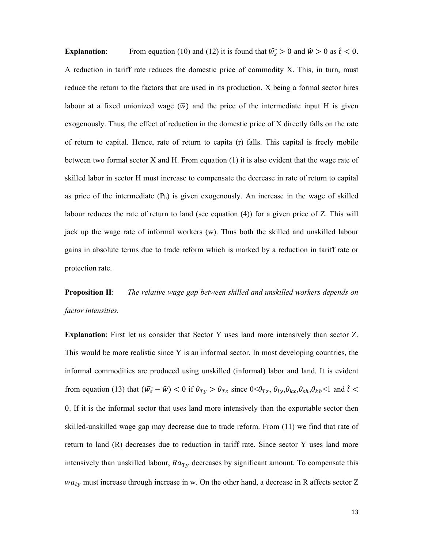**Explanation:** From equation (10) and (12) it is found that  $\widehat{w_s} > 0$  and  $\widehat{w} > 0$  as  $\widehat{t} < 0$ . A reduction in tariff rate reduces the domestic price of commodity X. This, in turn, must reduce the return to the factors that are used in its production. X being a formal sector hires labour at a fixed unionized wage  $(\overline{w})$  and the price of the intermediate input H is given exogenously. Thus, the effect of reduction in the domestic price of X directly falls on the rate of return to capital. Hence, rate of return to capita (r) falls. This capital is freely mobile between two formal sector X and H. From equation (1) it is also evident that the wage rate of skilled labor in sector H must increase to compensate the decrease in rate of return to capital as price of the intermediate  $(P_h)$  is given exogenously. An increase in the wage of skilled labour reduces the rate of return to land (see equation (4)) for a given price of Z. This will jack up the wage rate of informal workers (w). Thus both the skilled and unskilled labour gains in absolute terms due to trade reform which is marked by a reduction in tariff rate or protection rate.

**Proposition II:** The relative wage gap between skilled and unskilled workers depends on factor intensities.

Explanation: First let us consider that Sector Y uses land more intensively than sector Z. This would be more realistic since Y is an informal sector. In most developing countries, the informal commodities are produced using unskilled (informal) labor and land. It is evident from equation (13) that  $(\widehat{w_s} - \widehat{w}) < 0$  if  $\theta_{Ty} > \theta_{Tz}$  since  $0 < \theta_{Tz}$ ,  $\theta_{ly}, \theta_{kx}, \theta_{sh}, \theta_{kh} < 1$  and  $\widehat{t} <$ 0. If it is the informal sector that uses land more intensively than the exportable sector then skilled-unskilled wage gap may decrease due to trade reform. From (11) we find that rate of return to land (R) decreases due to reduction in tariff rate. Since sector Y uses land more intensively than unskilled labour,  $Ra_{Ty}$  decreases by significant amount. To compensate this  $wa<sub>l</sub>$  must increase through increase in w. On the other hand, a decrease in R affects sector Z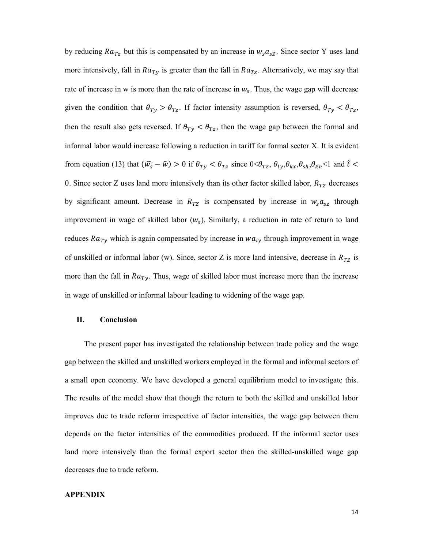by reducing  $Ra_{Tz}$  but this is compensated by an increase in  $w_s a_{sz}$ . Since sector Y uses land more intensively, fall in  $Ra_{Ty}$  is greater than the fall in  $Ra_{Tz}$ . Alternatively, we may say that rate of increase in w is more than the rate of increase in  $w_s$ . Thus, the wage gap will decrease given the condition that  $\theta_{Ty} > \theta_{Tz}$ . If factor intensity assumption is reversed,  $\theta_{Ty} < \theta_{Tz}$ , then the result also gets reversed. If  $\theta_{T_y} < \theta_{T_z}$ , then the wage gap between the formal and informal labor would increase following a reduction in tariff for formal sector X. It is evident from equation (13) that  $(\widehat{w_s} - \widehat{w}) > 0$  if  $\theta_{Ty} < \theta_{Tz}$  since  $0 < \theta_{Tz}$ ,  $\theta_{ly}, \theta_{kx}, \theta_{sh}, \theta_{kh} < 1$  and  $\hat{t} <$ 0. Since sector Z uses land more intensively than its other factor skilled labor,  $R_{TZ}$  decreases by significant amount. Decrease in  $R_{TZ}$  is compensated by increase in  $w_s a_{sz}$  through improvement in wage of skilled labor  $(w_s)$ . Similarly, a reduction in rate of return to land reduces  $Ra_{Ty}$  which is again compensated by increase in  $wa_{ly}$  through improvement in wage of unskilled or informal labor (w). Since, sector Z is more land intensive, decrease in  $R_{TZ}$  is more than the fall in  $Ra_{Ty}$ . Thus, wage of skilled labor must increase more than the increase in wage of unskilled or informal labour leading to widening of the wage gap.

## II. Conclusion

 The present paper has investigated the relationship between trade policy and the wage gap between the skilled and unskilled workers employed in the formal and informal sectors of a small open economy. We have developed a general equilibrium model to investigate this. The results of the model show that though the return to both the skilled and unskilled labor improves due to trade reform irrespective of factor intensities, the wage gap between them depends on the factor intensities of the commodities produced. If the informal sector uses land more intensively than the formal export sector then the skilled-unskilled wage gap decreases due to trade reform.

#### APPENDIX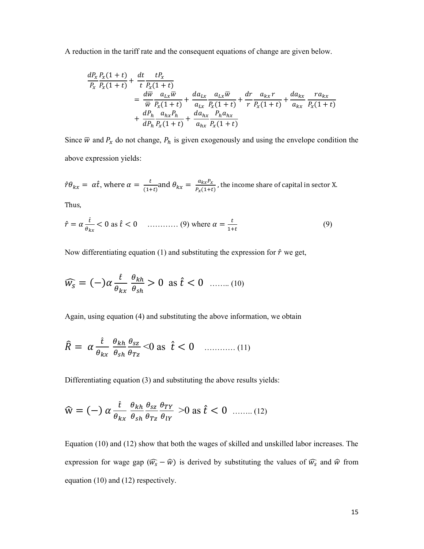A reduction in the tariff rate and the consequent equations of change are given below.

$$
\frac{dP_x}{P_x} \frac{P_x(1+t)}{P_x(1+t)} + \frac{dt}{t} \frac{tP_x}{P_x(1+t)} \n= \frac{d\overline{w}}{\overline{w}} \frac{a_{Lx}\overline{w}}{P_x(1+t)} + \frac{da_{Lx}}{a_{Lx}} \frac{a_{Lx}\overline{w}}{P_x(1+t)} + \frac{dr}{r} \frac{a_{kx}r}{P_x(1+t)} + \frac{da_{kx}}{a_{Rx}} \frac{ra_{kx}}{P_x(1+t)} \n+ \frac{dP_h}{dP_h} \frac{a_{hx}P_h}{P_x(1+t)} + \frac{da_{hx}}{a_{hx}} \frac{P_h a_{hx}}{P_x(1+t)}
$$

Since  $\overline{w}$  and  $P_x$  do not change,  $P_h$  is given exogenously and using the envelope condition the above expression yields:

$$
\hat{r}\theta_{kx} = \alpha \hat{t}
$$
, where  $\alpha = \frac{t}{(1+t)}$  and  $\theta_{kx} = \frac{a_{kx}P_x}{P_x(1+t)}$ , the income share of capital in sector X.

Thus,

$$
\hat{r} = \alpha \frac{\hat{t}}{\theta_{kx}} < 0 \text{ as } \hat{t} < 0 \quad \dots \dots \dots \dots \dots \quad (9) \text{ where } \alpha = \frac{t}{1+t} \tag{9}
$$

Now differentiating equation (1) and substituting the expression for  $\hat{r}$  we get,

$$
\widehat{W}_{S} = (-\alpha \frac{\hat{t}}{\theta_{kx}} \frac{\theta_{kh}}{\theta_{sh}} > 0 \text{ as } \hat{t} < 0 \quad \dots \dots (10)
$$

Again, using equation (4) and substituting the above information, we obtain

$$
\hat{R} = \alpha \frac{\hat{t}}{\theta_{kx}} \frac{\theta_{kh}}{\theta_{sh}} \frac{\theta_{sz}}{\theta_{rz}} < 0 \text{ as } \hat{t} < 0 \quad \dots \dots \dots \dots (11)
$$

Differentiating equation (3) and substituting the above results yields:

$$
\widehat{w} = (-) \alpha \frac{\hat{t}}{\theta_{kx}} \frac{\theta_{kh}}{\theta_{sh}} \frac{\theta_{sz}}{\theta_{Tz}} \frac{\theta_{TY}}{\theta_{lY}} > 0 \text{ as } \hat{t} < 0 \quad \dots \dots (12)
$$

Equation (10) and (12) show that both the wages of skilled and unskilled labor increases. The expression for wage gap  $(\widehat{w_s} - \widehat{w})$  is derived by substituting the values of  $\widehat{w_s}$  and  $\widehat{w}$  from equation (10) and (12) respectively.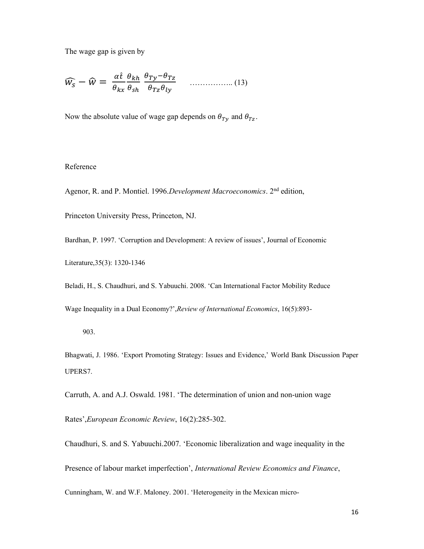The wage gap is given by

$$
\widehat{W}_{S} - \widehat{W} = \frac{\alpha \widehat{t}}{\theta_{kx}} \frac{\theta_{kh}}{\theta_{sh}} \frac{\theta_{Ty} - \theta_{Tz}}{\theta_{Tz} \theta_{ly}} \qquad \qquad (13)
$$

Now the absolute value of wage gap depends on  $\theta_{Ty}$  and  $\theta_{Tz}$ .

## Reference

Agenor, R. and P. Montiel. 1996. Development Macroeconomics. 2<sup>nd</sup> edition,

Princeton University Press, Princeton, NJ.

Bardhan, P. 1997. 'Corruption and Development: A review of issues', Journal of Economic

Literature,35(3): 1320-1346

Beladi, H., S. Chaudhuri, and S. Yabuuchi. 2008. 'Can International Factor Mobility Reduce

Wage Inequality in a Dual Economy?',Review of International Economics, 16(5):893-

903.

Bhagwati, J. 1986. 'Export Promoting Strategy: Issues and Evidence,' World Bank Discussion Paper UPERS7.

Carruth, A. and A.J. Oswald. 1981. 'The determination of union and non-union wage

Rates',European Economic Review, 16(2):285-302.

Chaudhuri, S. and S. Yabuuchi.2007. 'Economic liberalization and wage inequality in the Presence of labour market imperfection', International Review Economics and Finance, Cunningham, W. and W.F. Maloney. 2001. 'Heterogeneity in the Mexican micro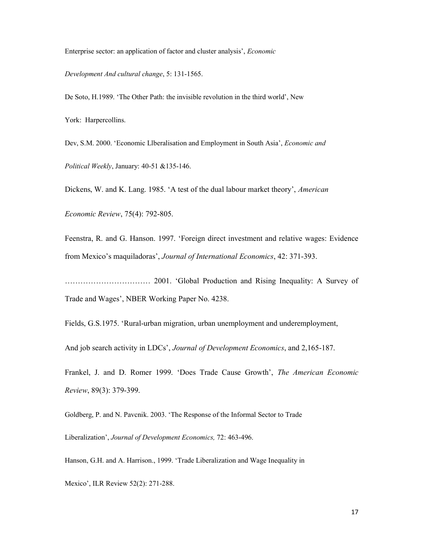Enterprise sector: an application of factor and cluster analysis', Economic

Development And cultural change, 5: 131-1565.

De Soto, H.1989. 'The Other Path: the invisible revolution in the third world', New

York: Harpercollins.

Dev, S.M. 2000. 'Economic Llberalisation and Employment in South Asia', Economic and Political Weekly, January: 40-51 &135-146.

Dickens, W. and K. Lang. 1985. 'A test of the dual labour market theory', American

Economic Review, 75(4): 792-805.

Feenstra, R. and G. Hanson. 1997. 'Foreign direct investment and relative wages: Evidence from Mexico's maquiladoras', Journal of International Economics, 42: 371-393.

…………………………… 2001. 'Global Production and Rising Inequality: A Survey of Trade and Wages', NBER Working Paper No. 4238.

Fields, G.S.1975. 'Rural-urban migration, urban unemployment and underemployment,

And job search activity in LDCs', Journal of Development Economics, and 2,165-187.

Frankel, J. and D. Romer 1999. 'Does Trade Cause Growth', The American Economic Review, 89(3): 379-399.

Goldberg, P. and N. Pavcnik. 2003. 'The Response of the Informal Sector to Trade

Liberalization', Journal of Development Economics, 72: 463-496.

Hanson, G.H. and A. Harrison., 1999. 'Trade Liberalization and Wage Inequality in

Mexico', ILR Review 52(2): 271-288.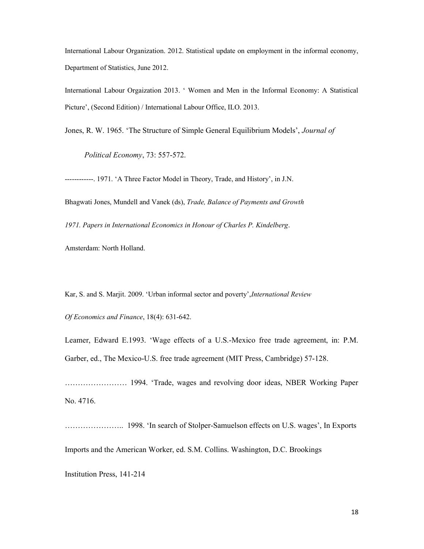International Labour Organization. 2012. Statistical update on employment in the informal economy, Department of Statistics, June 2012.

International Labour Orgaization 2013. ' Women and Men in the Informal Economy: A Statistical Picture', (Second Edition) / International Labour Office, ILO. 2013.

Jones, R. W. 1965. 'The Structure of Simple General Equilibrium Models', *Journal of* 

Political Economy, 73: 557-572.

------------. 1971. 'A Three Factor Model in Theory, Trade, and History', in J.N.

Bhagwati Jones, Mundell and Vanek (ds), Trade, Balance of Payments and Growth

1971. Papers in International Economics in Honour of Charles P. Kindelberg.

Amsterdam: North Holland.

Kar, S. and S. Marjit. 2009. 'Urban informal sector and poverty', International Review

Of Economics and Finance, 18(4): 631-642.

Leamer, Edward E.1993. 'Wage effects of a U.S.-Mexico free trade agreement, in: P.M. Garber, ed., The Mexico-U.S. free trade agreement (MIT Press, Cambridge) 57-128.

…………………… 1994. 'Trade, wages and revolving door ideas, NBER Working Paper No. 4716.

………………….. 1998. 'In search of Stolper-Samuelson effects on U.S. wages', In Exports

Imports and the American Worker, ed. S.M. Collins. Washington, D.C. Brookings

Institution Press, 141-214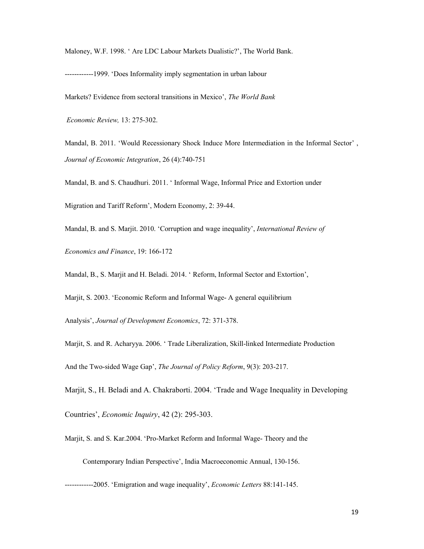Maloney, W.F. 1998. ' Are LDC Labour Markets Dualistic?', The World Bank.

------------1999. 'Does Informality imply segmentation in urban labour

Markets? Evidence from sectoral transitions in Mexico', The World Bank

Economic Review, 13: 275-302.

Mandal, B. 2011. 'Would Recessionary Shock Induce More Intermediation in the Informal Sector' , Journal of Economic Integration, 26 (4):740-751

Mandal, B. and S. Chaudhuri. 2011. ' Informal Wage, Informal Price and Extortion under

Migration and Tariff Reform', Modern Economy, 2: 39-44.

Mandal, B. and S. Marjit. 2010. 'Corruption and wage inequality', *International Review of* 

Economics and Finance, 19: 166-172

Mandal, B., S. Marjit and H. Beladi. 2014. ' Reform, Informal Sector and Extortion',

Marjit, S. 2003. 'Economic Reform and Informal Wage- A general equilibrium

Analysis', Journal of Development Economics, 72: 371-378.

Marjit, S. and R. Acharyya. 2006. ' Trade Liberalization, Skill-linked Intermediate Production

And the Two-sided Wage Gap', The Journal of Policy Reform, 9(3): 203-217.

Marjit, S., H. Beladi and A. Chakraborti. 2004. 'Trade and Wage Inequality in Developing

Countries', Economic Inquiry, 42 (2): 295-303.

Marjit, S. and S. Kar.2004. 'Pro-Market Reform and Informal Wage- Theory and the

Contemporary Indian Perspective', India Macroeconomic Annual, 130-156.

-------------2005. 'Emigration and wage inequality', *Economic Letters* 88:141-145.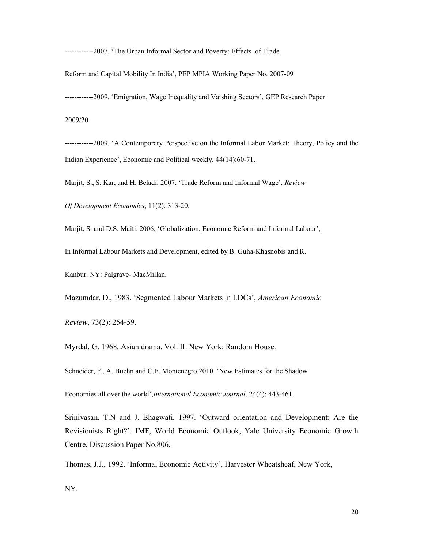------------2007. 'The Urban Informal Sector and Poverty: Effects of Trade

Reform and Capital Mobility In India', PEP MPIA Working Paper No. 2007-09

------------2009. 'Emigration, Wage Inequality and Vaishing Sectors', GEP Research Paper

2009/20

------------2009. 'A Contemporary Perspective on the Informal Labor Market: Theory, Policy and the Indian Experience', Economic and Political weekly, 44(14):60-71.

Marjit, S., S. Kar, and H. Beladi. 2007. 'Trade Reform and Informal Wage', Review

Of Development Economics, 11(2): 313-20.

Marjit, S. and D.S. Maiti. 2006, 'Globalization, Economic Reform and Informal Labour',

In Informal Labour Markets and Development, edited by B. Guha-Khasnobis and R.

Kanbur. NY: Palgrave- MacMillan.

Mazumdar, D., 1983. 'Segmented Labour Markets in LDCs', American Economic

Review, 73(2): 254-59.

Myrdal, G. 1968. Asian drama. Vol. II. New York: Random House.

Schneider, F., A. Buehn and C.E. Montenegro.2010. 'New Estimates for the Shadow

Economies all over the world', International Economic Journal. 24(4): 443-461.

Srinivasan. T.N and J. Bhagwati. 1997. 'Outward orientation and Development: Are the Revisionists Right?'. IMF, World Economic Outlook, Yale University Economic Growth Centre, Discussion Paper No.806.

Thomas, J.J., 1992. 'Informal Economic Activity', Harvester Wheatsheaf, New York,

NY.